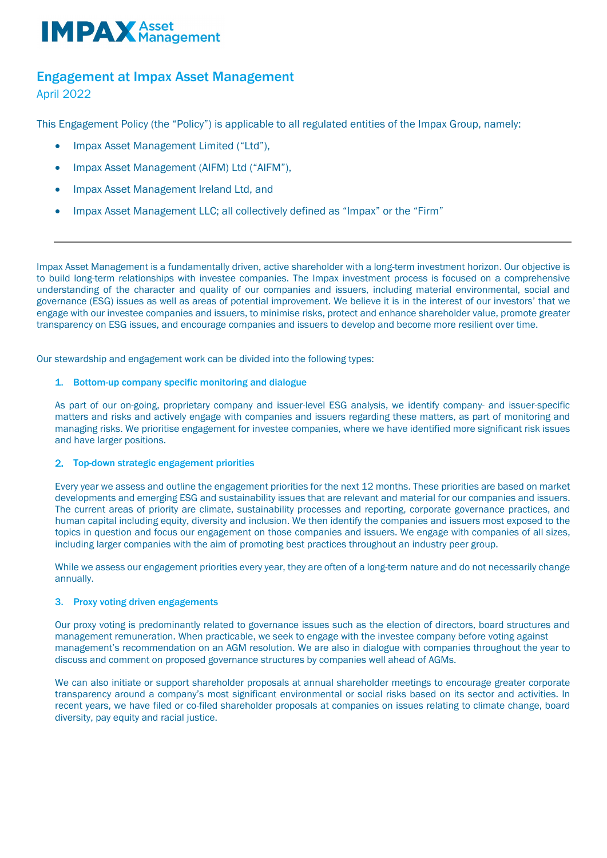# **IMPAX** Asset

## Engagement at Impax Asset Management

April 2022

This Engagement Policy (the "Policy") is applicable to all regulated entities of the Impax Group, namely:

- Impax Asset Management Limited ("Ltd"),
- Impax Asset Management (AIFM) Ltd ("AIFM"),
- Impax Asset Management Ireland Ltd, and
- Impax Asset Management LLC; all collectively defined as "Impax" or the "Firm"

Impax Asset Management is a fundamentally driven, active shareholder with a long-term investment horizon. Our objective is to build long-term relationships with investee companies. The Impax investment process is focused on a comprehensive understanding of the character and quality of our companies and issuers, including material environmental, social and governance (ESG) issues as well as areas of potential improvement. We believe it is in the interest of our investors' that we engage with our investee companies and issuers, to minimise risks, protect and enhance shareholder value, promote greater transparency on ESG issues, and encourage companies and issuers to develop and become more resilient over time.

Our stewardship and engagement work can be divided into the following types:

#### 1. Bottom-up company specific monitoring and dialogue

As part of our on-going, proprietary company and issuer-level ESG analysis, we identify company- and issuer-specific matters and risks and actively engage with companies and issuers regarding these matters, as part of monitoring and managing risks. We prioritise engagement for investee companies, where we have identified more significant risk issues and have larger positions.

#### 2. Top-down strategic engagement priorities

Every year we assess and outline the engagement priorities for the next 12 months. These priorities are based on market developments and emerging ESG and sustainability issues that are relevant and material for our companies and issuers. The current areas of priority are climate, sustainability processes and reporting, corporate governance practices, and human capital including equity, diversity and inclusion. We then identify the companies and issuers most exposed to the topics in question and focus our engagement on those companies and issuers. We engage with companies of all sizes, including larger companies with the aim of promoting best practices throughout an industry peer group.

While we assess our engagement priorities every year, they are often of a long-term nature and do not necessarily change annually.

#### 3. Proxy voting driven engagements

Our proxy voting is predominantly related to governance issues such as the election of directors, board structures and management remuneration. When practicable, we seek to engage with the investee company before voting against management's recommendation on an AGM resolution. We are also in dialogue with companies throughout the year to discuss and comment on proposed governance structures by companies well ahead of AGMs.

We can also initiate or support shareholder proposals at annual shareholder meetings to encourage greater corporate transparency around a company's most significant environmental or social risks based on its sector and activities. In recent years, we have filed or co-filed shareholder proposals at companies on issues relating to climate change, board diversity, pay equity and racial justice.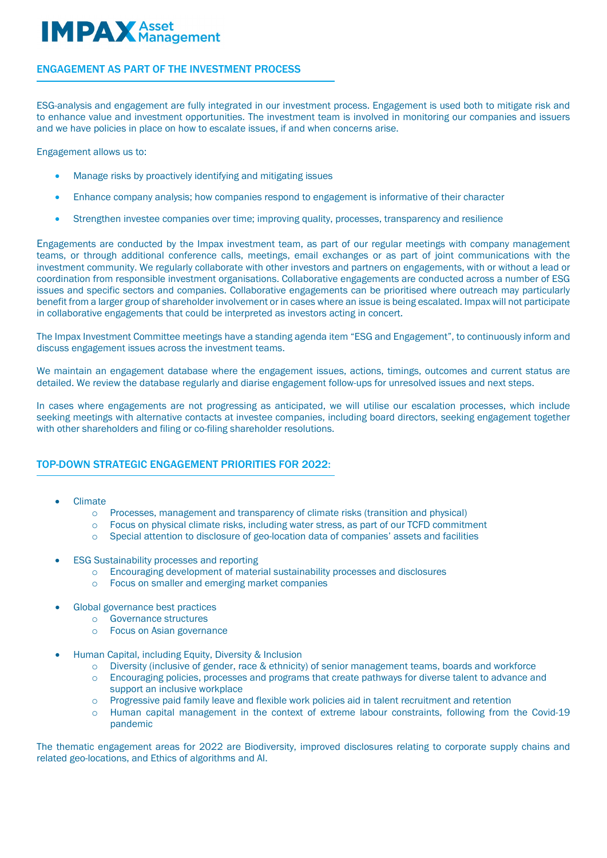# **IMPAX** Asset aaement

#### ENGAGEMENT AS PART OF THE INVESTMENT PROCESS

ESG-analysis and engagement are fully integrated in our investment process. Engagement is used both to mitigate risk and to enhance value and investment opportunities. The investment team is involved in monitoring our companies and issuers and we have policies in place on how to escalate issues, if and when concerns arise.

Engagement allows us to:

f

- Manage risks by proactively identifying and mitigating issues
- Enhance company analysis; how companies respond to engagement is informative of their character
- Strengthen investee companies over time; improving quality, processes, transparency and resilience

Engagements are conducted by the Impax investment team, as part of our regular meetings with company management teams, or through additional conference calls, meetings, email exchanges or as part of joint communications with the investment community. We regularly collaborate with other investors and partners on engagements, with or without a lead or coordination from responsible investment organisations. Collaborative engagements are conducted across a number of ESG issues and specific sectors and companies. Collaborative engagements can be prioritised where outreach may particularly benefit from a larger group of shareholder involvement or in cases where an issue is being escalated. Impax will not participate in collaborative engagements that could be interpreted as investors acting in concert.

The Impax Investment Committee meetings have a standing agenda item "ESG and Engagement", to continuously inform and discuss engagement issues across the investment teams.

We maintain an engagement database where the engagement issues, actions, timings, outcomes and current status are detailed. We review the database regularly and diarise engagement follow-ups for unresolved issues and next steps.

In cases where engagements are not progressing as anticipated, we will utilise our escalation processes, which include seeking meetings with alternative contacts at investee companies, including board directors, seeking engagement together with other shareholders and filing or co-filing shareholder resolutions.

#### TOP-DOWN STRATEGIC ENGAGEMENT PRIORITIES FOR 2022:

- Climate
	- o Processes, management and transparency of climate risks (transition and physical) o Focus on physical climate risks, including water stress, as part of our TCFD commitn
	- Focus on physical climate risks, including water stress, as part of our TCFD commitment
	- o Special attention to disclosure of geo-location data of companies' assets and facilities
- **ESG Sustainability processes and reporting** 
	- o Encouraging development of material sustainability processes and disclosures
	- o Focus on smaller and emerging market companies
- Global governance best practices
	- o Governance structures
		- o Focus on Asian governance
- Human Capital, including Equity, Diversity & Inclusion
	- o Diversity (inclusive of gender, race & ethnicity) of senior management teams, boards and workforce
	- Encouraging policies, processes and programs that create pathways for diverse talent to advance and support an inclusive workplace
	- o Progressive paid family leave and flexible work policies aid in talent recruitment and retention
	- o Human capital management in the context of extreme labour constraints, following from the Covid-19 pandemic

The thematic engagement areas for 2022 are Biodiversity, improved disclosures relating to corporate supply chains and related geo-locations, and Ethics of algorithms and AI.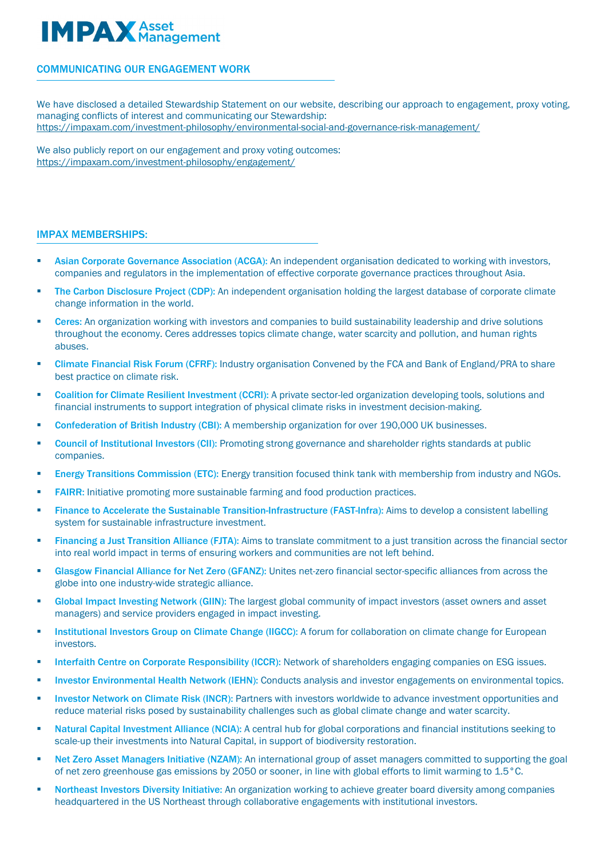### **IMPAX** Asset aaement

#### COMMUNICATING OUR ENGAGEMENT WORK

We have disclosed a detailed Stewardship Statement on our website, describing our approach to engagement, proxy voting, managing conflicts of interest and communicating our Stewardship: <https://impaxam.com/investment-philosophy/environmental-social-and-governance-risk-management/>

We also publicly report on our engagement and proxy voting outcomes: https://impaxam.com/investment-philosophy/engagement/

#### IMPAX MEMBERSHIPS:

Ī

- Asian Corporate Governance Association (ACGA): An independent organisation dedicated to working with investors, companies and regulators in the implementation of effective corporate governance practices throughout Asia.
- The Carbon Disclosure Project (CDP): An independent organisation holding the largest database of corporate climate change information in the world.
- Ceres: An organization working with investors and companies to build sustainability leadership and drive solutions throughout the economy. Ceres addresses topics climate change, water scarcity and pollution, and human rights abuses.
- Climate Financial Risk Forum (CFRF): Industry organisation Convened by the FCA and Bank of England/PRA to share best practice on climate risk.
- Coalition for Climate Resilient Investment (CCRI): A private sector-led organization developing tools, solutions and financial instruments to support integration of physical climate risks in investment decision-making.
- Confederation of British Industry (CBI): A membership organization for over 190,000 UK businesses.
- Council of Institutional Investors (CII): Promoting strong governance and shareholder rights standards at public companies.
- Energy Transitions Commission (ETC): Energy transition focused think tank with membership from industry and NGOs.
- FAIRR: Initiative promoting more sustainable farming and food production practices.
- Finance to Accelerate the Sustainable Transition-Infrastructure (FAST-Infra): Aims to develop a consistent labelling system for sustainable infrastructure investment.
- Financing a Just Transition Alliance (FJTA): Aims to translate commitment to a just transition across the financial sector into real world impact in terms of ensuring workers and communities are not left behind.
- Glasgow Financial Alliance for Net Zero (GFANZ): Unites net-zero financial sector-specific alliances from across the globe into one industry-wide strategic alliance.
- **Global Impact Investing Network (GIIN):** The largest global community of impact investors (asset owners and asset managers) and service providers engaged in impact investing.
- **Institutional Investors Group on Climate Change (IIGCC):** A forum for collaboration on climate change for European investors.
- Interfaith Centre on Corporate Responsibility (ICCR): Network of shareholders engaging companies on ESG issues.
- Investor Environmental Health Network (IEHN): Conducts analysis and investor engagements on environmental topics.
- Investor Network on Climate Risk (INCR): Partners with investors worldwide to advance investment opportunities and reduce material risks posed by sustainability challenges such as global climate change and water scarcity.
- Natural Capital Investment Alliance (NCIA): A central hub for global corporations and financial institutions seeking to scale-up their investments into Natural Capital, in support of biodiversity restoration.
- Net Zero Asset Managers Initiative (NZAM): An international group of asset managers committed to supporting the goal of net zero greenhouse gas emissions by 2050 or sooner, in line with global efforts to limit warming to 1.5°C.
- Northeast Investors Diversity Initiative: An organization working to achieve greater board diversity among companies headquartered in the US Northeast through collaborative engagements with institutional investors.